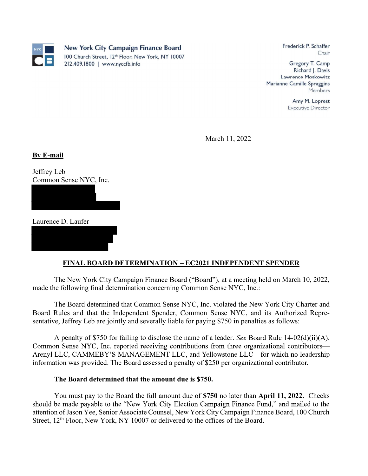

Frederick P. Schaffer Chair

Gregory T. Camp Richard J. Davis Lawrence Moskowitz Marianne Camille Spraggins Members

> Amy M. Loprest **Executive Director**

March 11, 2022

**By E-mail**<br>Jeffrey Leb

Common Sense NYC, Inc.

Laurence D. Laufer

## FINAL BOARD DETERMINATION EC2021 INDEPENDENT SPENDER

The New York City Campaign Finance Board ("Board"), at a meeting held on March 10, 2022, made the following final determination concerning Common Sense NYC, Inc.:

The Board determined that Common Sense NYC, Inc. violated the New York City Charter and Board Rules and that the Independent Spender, Common Sense NYC, and its Authorized Representative, Jeffrey Leb are jointly and severally liable for paying \$750 in penalties as follows:

A penalty of \$750 for failing to disclose the name of a leader. See Board Rule  $14-02(d)(ii)(A)$ . Common Sense NYC, Inc. reported receiving contributions from three organizational contributors— Arenyl LLC, CAMMEBY'S MANAGEMENT LLC, and Yellowstone LLC—for which no leadership information was provided. The Board assessed a penalty of \$250 per organizational contributor.

## The Board determined that the amount due is \$750.

You must pay to the Board the full amount due of \$750 no later than April 11, 2022. Checks should be made payable to the "New York City Election Campaign Finance Fund," and mailed to the attention of Jason Yee, Senior Associate Counsel, New York City Campaign Finance Board, 100 Church Street, 12<sup>th</sup> Floor, New York, NY 10007 or delivered to the offices of the Board.